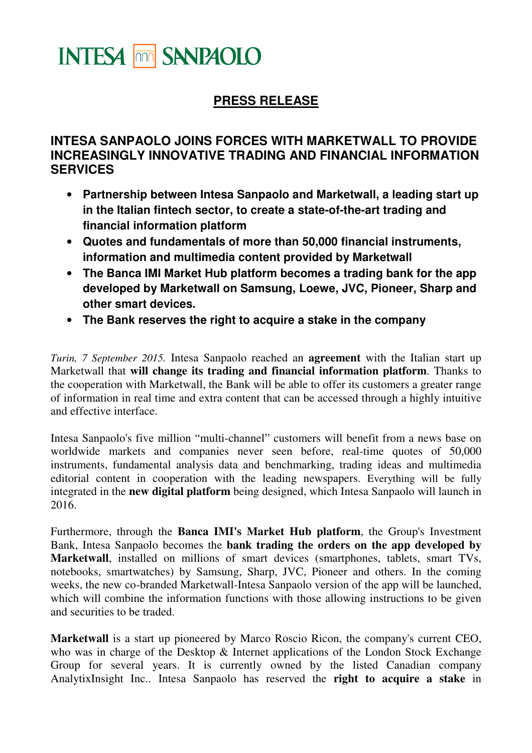## **INTESA MM SANPAOLO**

## **PRESS RELEASE**

## **INTESA SANPAOLO JOINS FORCES WITH MARKETWALL TO PROVIDE INCREASINGLY INNOVATIVE TRADING AND FINANCIAL INFORMATION SERVICES**

- **Partnership between Intesa Sanpaolo and Marketwall, a leading start up in the Italian fintech sector, to create a state-of-the-art trading and financial information platform**
- **Quotes and fundamentals of more than 50,000 financial instruments, information and multimedia content provided by Marketwall**
- **The Banca IMI Market Hub platform becomes a trading bank for the app developed by Marketwall on Samsung, Loewe, JVC, Pioneer, Sharp and other smart devices.**
- **The Bank reserves the right to acquire a stake in the company**

*Turin, 7 September 2015.* Intesa Sanpaolo reached an **agreement** with the Italian start up Marketwall that **will change its trading and financial information platform**. Thanks to the cooperation with Marketwall, the Bank will be able to offer its customers a greater range of information in real time and extra content that can be accessed through a highly intuitive and effective interface.

Intesa Sanpaolo's five million "multi-channel" customers will benefit from a news base on worldwide markets and companies never seen before, real-time quotes of 50,000 instruments, fundamental analysis data and benchmarking, trading ideas and multimedia editorial content in cooperation with the leading newspapers. Everything will be fully integrated in the **new digital platform** being designed, which Intesa Sanpaolo will launch in 2016.

Furthermore, through the **Banca IMI's Market Hub platform**, the Group's Investment Bank, Intesa Sanpaolo becomes the **bank trading the orders on the app developed by Marketwall**, installed on millions of smart devices (smartphones, tablets, smart TVs, notebooks, smartwatches) by Samsung, Sharp, JVC, Pioneer and others. In the coming weeks, the new co-branded Marketwall-Intesa Sanpaolo version of the app will be launched, which will combine the information functions with those allowing instructions to be given and securities to be traded.

**Marketwall** is a start up pioneered by Marco Roscio Ricon, the company's current CEO, who was in charge of the Desktop & Internet applications of the London Stock Exchange Group for several years. It is currently owned by the listed Canadian company AnalytixInsight Inc.. Intesa Sanpaolo has reserved the **right to acquire a stake** in